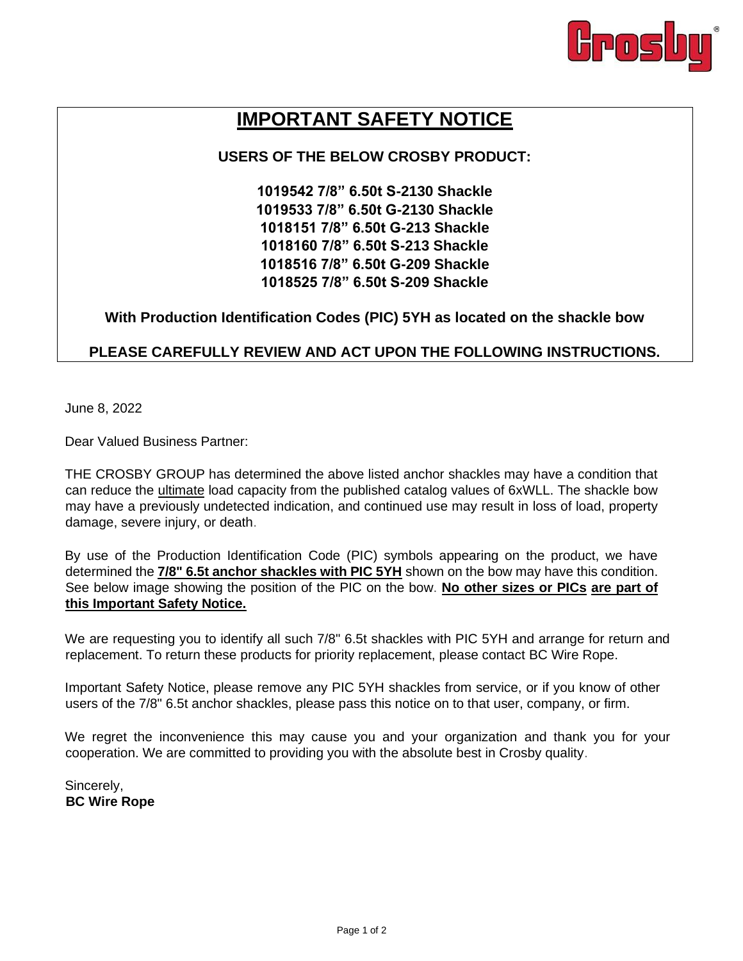

## **IMPORTANT SAFETY NOTICE**

## **USERS OF THE BELOW CROSBY PRODUCT:**

**1019542 7/8" 6.50t S-2130 Shackle 1019533 7/8" 6.50t G-2130 Shackle 1018151 7/8" 6.50t G-213 Shackle 1018160 7/8" 6.50t S-213 Shackle 1018516 7/8" 6.50t G-209 Shackle 1018525 7/8" 6.50t S-209 Shackle** 

**With Production Identification Codes (PIC) 5YH as located on the shackle bow**

## **PLEASE CAREFULLY REVIEW AND ACT UPON THE FOLLOWING INSTRUCTIONS.**

June 8, 2022

Dear Valued Business Partner:

THE CROSBY GROUP has determined the above listed anchor shackles may have a condition that can reduce the ultimate load capacity from the published catalog values of 6xWLL. The shackle bow may have a previously undetected indication, and continued use may result in loss of load, property damage, severe injury, or death.

By use of the Production Identification Code (PIC) symbols appearing on the product, we have determined the **7/8" 6.5t anchor shackles with PIC 5YH** shown on the bow may have this condition. See below image showing the position of the PIC on the bow. **No other sizes or PICs are part of this Important Safety Notice.**

We are requesting you to identify all such 7/8" 6.5t shackles with PIC 5YH and arrange for return and replacement. To return these products for priority replacement, please contact BC Wire Rope.

Important Safety Notice, please remove any PIC 5YH shackles from service, or if you know of other users of the 7/8" 6.5t anchor shackles, please pass this notice on to that user, company, or firm.

We regret the inconvenience this may cause you and your organization and thank you for your cooperation. We are committed to providing you with the absolute best in Crosby quality.

Sincerely, **BC Wire Rope**